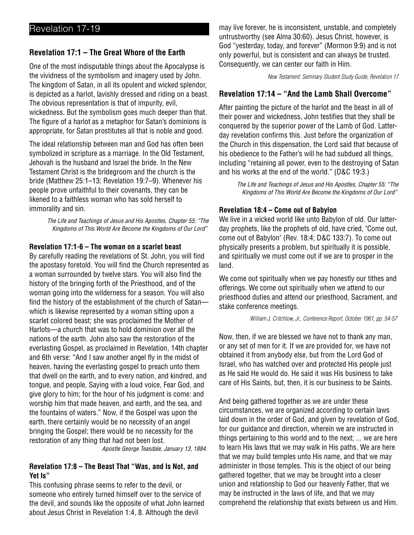# **Revelation 17:1 – The Great Whore of the Earth**

One of the most indisputable things about the Apocalypse is the vividness of the symbolism and imagery used by John. The kingdom of Satan, in all its opulent and wicked splendor, is depicted as a harlot, lavishly dressed and riding on a beast. The obvious representation is that of impurity, evil, wickedness. But the symbolism goes much deeper than that. The figure of a harlot as a metaphor for Satan's dominions is appropriate, for Satan prostitutes all that is noble and good.

The ideal relationship between man and God has often been symbolized in scripture as a marriage. In the Old Testament, Jehovah is the husband and Israel the bride. In the New Testament Christ is the bridegroom and the church is the bride (Matthew 25:1–13; Revelation 19:7–9). Whenever his people prove unfaithful to their covenants, they can be likened to a faithless woman who has sold herself to immorality and sin.

> The Life and Teachings of Jesus and His Apostles, Chapter 55: "The Kingdoms of This World Are Become the Kingdoms of Our Lord"

## **Revelation 17:1-6 – The woman on a scarlet beast**

By carefully reading the revelations of St. John, you will find the apostasy foretold. You will find the Church represented as a woman surrounded by twelve stars. You will also find the history of the bringing forth of the Priesthood, and of the woman going into the wilderness for a season. You will also find the history of the establishment of the church of Satan which is likewise represented by a woman sitting upon a scarlet colored beast; she was proclaimed the Mother of Harlots—a church that was to hold dominion over all the nations of the earth. John also saw the restoration of the everlasting Gospel, as proclaimed in Revelation, 14th chapter and 6th verse: "And I saw another angel fly in the midst of heaven, having the everlasting gospel to preach unto them that dwell on the earth, and to every nation, and kindred, and tongue, and people, Saying with a loud voice, Fear God, and give glory to him; for the hour of his judgment is come: and worship him that made heaven, and earth, and the sea, and the fountains of waters." Now, if the Gospel was upon the earth, there certainly would be no necessity of an angel bringing the Gospel; there would be no necessity for the restoration of any thing that had not been lost.

Apostle George Teasdale, January 13, 1884.

## **Revelation 17:8 – The Beast That "Was, and Is Not, and Yet Is"**

This confusing phrase seems to refer to the devil, or someone who entirely turned himself over to the service of the devil, and sounds like the opposite of what John learned about Jesus Christ in Revelation 1:4, 8. Although the devil

may live forever, he is inconsistent, unstable, and completely untrustworthy (see Alma 30:60). Jesus Christ, however, is God "yesterday, today, and forever" (Mormon 9:9) and is not only powerful, but is consistent and can always be trusted. Consequently, we can center our faith in Him.

New Testament: Seminary Student Study Guide, Revelation 17

# **Revelation 17:14 – "And the Lamb Shall Overcome"**

After painting the picture of the harlot and the beast in all of their power and wickedness, John testifies that they shall be conquered by the superior power of the Lamb of God. Latterday revelation confirms this. Just before the organization of the Church in this dispensation, the Lord said that because of his obedience to the Father's will he had subdued all things, including "retaining all power, even to the destroying of Satan and his works at the end of the world." (D&C 19:3.)

> The Life and Teachings of Jesus and His Apostles, Chapter 55: "The Kingdoms of This World Are Become the Kingdoms of Our Lord"

## **Revelation 18:4 – Come out of Babylon**

We live in a wicked world like unto Babylon of old. Our latterday prophets, like the prophets of old, have cried, "Come out, come out of Babylon" (Rev. 18:4; D&C 133:7). To come out physically presents a problem, but spiritually it is possible, and spiritually we must come out if we are to prosper in the land.

We come out spiritually when we pay honestly our tithes and offerings. We come out spiritually when we attend to our priesthood duties and attend our priesthood, Sacrament, and stake conference meetings.

William J. Critchlow, Jr., Conference Report, October 1961, pp. 54-57

Now, then, if we are blessed we have not to thank any man, or any set of men for it. If we are provided for, we have not obtained it from anybody else, but from the Lord God of Israel, who has watched over and protected His people just as He said He would do. He said it was His business to take care of His Saints, but, then, it is our business to be Saints.

And being gathered together as we are under these circumstances, we are organized according to certain laws laid down in the order of God, and given by revelation of God, for our guidance and direction, wherein we are instructed in things pertaining to this world and to the next; ... we are here to learn His laws that we may walk in His paths. We are here that we may build temples unto His name, and that we may administer in those temples. This is the object of our being gathered together, that we may be brought into a closer union and relationship to God our heavenly Father, that we may be instructed in the laws of life, and that we may comprehend the relationship that exists between us and Him.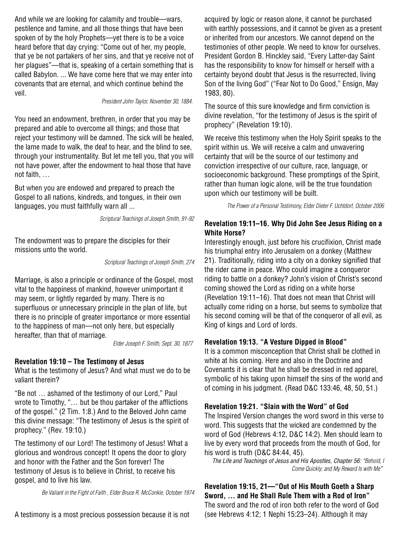And while we are looking for calamity and trouble—wars, pestilence and famine, and all those things that have been spoken of by the holy Prophets—yet there is to be a voice heard before that day crying: "Come out of her, my people, that ye be not partakers of her sins, and that ye receive not of her plagues"—that is, speaking of a certain something that is called Babylon. ... We have come here that we may enter into covenants that are eternal, and which continue behind the veil.

#### President John Taylor, November 30, 1884.

You need an endowment, brethren, in order that you may be prepared and able to overcome all things; and those that reject your testimony will be damned. The sick will be healed, the lame made to walk, the deaf to hear, and the blind to see, through your instrumentality. But let me tell you, that you will not have power, after the endowment to heal those that have not faith, …

But when you are endowed and prepared to preach the Gospel to all nations, kindreds, and tongues, in their own languages, you must faithfully warn all ...

Scriptural Teachings of Joseph Smith, 91-92

The endowment was to prepare the disciples for their missions unto the world.

Scriptural Teachings of Joseph Smith, 274

Marriage, is also a principle or ordinance of the Gospel, most vital to the happiness of mankind, however unimportant it may seem, or lightly regarded by many. There is no superfluous or unnecessary principle in the plan of life, but there is no principle of greater importance or more essential to the happiness of man—not only here, but especially hereafter, than that of marriage.

Elder Joseph F. Smith, Sept. 30, 1877

#### **Revelation 19:10 – The Testimony of Jesus**

What is the testimony of Jesus? And what must we do to be valiant therein?

"Be not … ashamed of the testimony of our Lord," Paul wrote to Timothy, "… but be thou partaker of the afflictions of the gospel." (2 Tim. 1:8.) And to the Beloved John came this divine message: "The testimony of Jesus is the spirit of prophecy." (Rev. 19:10.)

The testimony of our Lord! The testimony of Jesus! What a glorious and wondrous concept! It opens the door to glory and honor with the Father and the Son forever! The testimony of Jesus is to believe in Christ, to receive his gospel, and to live his law.

Be Valiant in the Fight of Faith , Elder Bruce R. McConkie, October 1974

A testimony is a most precious possession because it is not

acquired by logic or reason alone, it cannot be purchased with earthly possessions, and it cannot be given as a present or inherited from our ancestors. We cannot depend on the testimonies of other people. We need to know for ourselves. President Gordon B. Hinckley said, "Every Latter-day Saint has the responsibility to know for himself or herself with a certainty beyond doubt that Jesus is the resurrected, living Son of the living God" ("Fear Not to Do Good," Ensign, May 1983, 80).

The source of this sure knowledge and firm conviction is divine revelation, "for the testimony of Jesus is the spirit of prophecy" (Revelation 19:10).

We receive this testimony when the Holy Spirit speaks to the spirit within us. We will receive a calm and unwavering certainty that will be the source of our testimony and conviction irrespective of our culture, race, language, or socioeconomic background. These promptings of the Spirit, rather than human logic alone, will be the true foundation upon which our testimony will be built.

The Power of a Personal Testimony, Elder Dieter F. Uchtdorf, October 2006

## **Revelation 19:11–16. Why Did John See Jesus Riding on a White Horse?**

Interestingly enough, just before his crucifixion, Christ made his triumphal entry into Jerusalem on a donkey (Matthew 21). Traditionally, riding into a city on a donkey signified that the rider came in peace. Who could imagine a conqueror riding to battle on a donkey? John's vision of Christ's second coming showed the Lord as riding on a white horse (Revelation 19:11–16). That does not mean that Christ will actually come riding on a horse, but seems to symbolize that his second coming will be that of the conqueror of all evil, as King of kings and Lord of lords.

## **Revelation 19:13. "A Vesture Dipped in Blood"**

It is a common misconception that Christ shall be clothed in white at his coming. Here and also in the Doctrine and Covenants it is clear that he shall be dressed in red apparel, symbolic of his taking upon himself the sins of the world and of coming in his judgment. (Read D&C 133:46, 48, 50, 51.)

**Revelation 19:21. "Slain with the Word" of God**

The Inspired Version changes the word sword in this verse to word. This suggests that the wicked are condemned by the word of God (Hebrews 4:12, D&C 14:2). Men should learn to live by every word that proceeds from the mouth of God, for his word is truth (D&C 84:44, 45).

The Life and Teachings of Jesus and His Apostles, Chapter 56: "Behold, I Come Quickly; and My Reward Is with Me"

**Revelation 19:15, 21—"Out of His Mouth Goeth a Sharp Sword, … and He Shall Rule Them with a Rod of Iron"** The sword and the rod of iron both refer to the word of God (see Hebrews 4:12; 1 Nephi 15:23–24). Although it may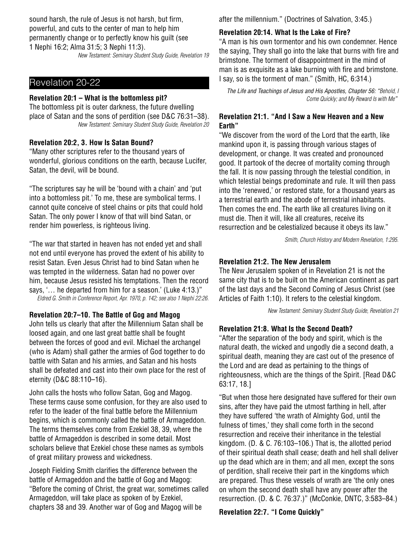sound harsh, the rule of Jesus is not harsh, but firm, powerful, and cuts to the center of man to help him permanently change or to perfectly know his guilt (see 1 Nephi 16:2; Alma 31:5; 3 Nephi 11:3).

New Testament: Seminary Student Study Guide, Revelation 19

# Revelation 20-22

#### **Revelation 20:1 – What is the bottomless pit?**

The bottomless pit is outer darkness, the future dwelling place of Satan and the sons of perdition (see D&C 76:31–38). New Testament: Seminary Student Study Guide, Revelation 20

#### **Revelation 20:2, 3. How Is Satan Bound?**

"Many other scriptures refer to the thousand years of wonderful, glorious conditions on the earth, because Lucifer, Satan, the devil, will be bound.

"The scriptures say he will be 'bound with a chain' and 'put into a bottomless pit.' To me, these are symbolical terms. I cannot quite conceive of steel chains or pits that could hold Satan. The only power I know of that will bind Satan, or render him powerless, is righteous living.

"The war that started in heaven has not ended yet and shall not end until everyone has proved the extent of his ability to resist Satan. Even Jesus Christ had to bind Satan when he was tempted in the wilderness. Satan had no power over him, because Jesus resisted his temptations. Then the record says, '… he departed from him for a season.' (Luke 4:13.)" Eldred G. Smith in Conference Report, Apr. 1970, p. 142; see also 1 Nephi 22:26.

#### **Revelation 20:7–10. The Battle of Gog and Magog**

John tells us clearly that after the Millennium Satan shall be loosed again, and one last great battle shall be fought between the forces of good and evil. Michael the archangel (who is Adam) shall gather the armies of God together to do battle with Satan and his armies, and Satan and his hosts shall be defeated and cast into their own place for the rest of eternity (D&C 88:110–16).

John calls the hosts who follow Satan, Gog and Magog. These terms cause some confusion, for they are also used to refer to the leader of the final battle before the Millennium begins, which is commonly called the battle of Armageddon. The terms themselves come from Ezekiel 38, 39, where the battle of Armageddon is described in some detail. Most scholars believe that Ezekiel chose these names as symbols of great military prowess and wickedness.

Joseph Fielding Smith clarifies the difference between the battle of Armageddon and the battle of Gog and Magog: "Before the coming of Christ, the great war, sometimes called Armageddon, will take place as spoken of by Ezekiel, chapters 38 and 39. Another war of Gog and Magog will be

after the millennium." (Doctrines of Salvation, 3:45.)

### **Revelation 20:14. What Is the Lake of Fire?**

"A man is his own tormentor and his own condemner. Hence the saying, They shall go into the lake that burns with fire and brimstone. The torment of disappointment in the mind of man is as exquisite as a lake burning with fire and brimstone. I say, so is the torment of man." (Smith, HC, 6:314.)

The Life and Teachings of Jesus and His Apostles, Chapter 56: "Behold, I Come Quickly; and My Reward Is with Me"

## **Revelation 21:1. "And I Saw a New Heaven and a New Earth"**

"We discover from the word of the Lord that the earth, like mankind upon it, is passing through various stages of development, or change. It was created and pronounced good. It partook of the decree of mortality coming through the fall. It is now passing through the telestial condition, in which telestial beings predominate and rule. It will then pass into the 'renewed,' or restored state, for a thousand years as a terrestrial earth and the abode of terrestrial inhabitants. Then comes the end. The earth like all creatures living on it must die. Then it will, like all creatures, receive its resurrection and be celestialized because it obeys its law."

Smith, Church History and Modern Revelation, 1:295.

### **Revelation 21:2. The New Jerusalem**

The New Jerusalem spoken of in Revelation 21 is not the same city that is to be built on the American continent as part of the last days and the Second Coming of Jesus Christ (see Articles of Faith 1:10). It refers to the celestial kingdom.

New Testament: Seminary Student Study Guide, Revelation 21

#### **Revelation 21:8. What Is the Second Death?**

"After the separation of the body and spirit, which is the natural death, the wicked and ungodly die a second death, a spiritual death, meaning they are cast out of the presence of the Lord and are dead as pertaining to the things of righteousness, which are the things of the Spirit. [Read D&C 63:17, 18.]

"But when those here designated have suffered for their own sins, after they have paid the utmost farthing in hell, after they have suffered 'the wrath of Almighty God, until the fulness of times,' they shall come forth in the second resurrection and receive their inheritance in the telestial kingdom. (D. & C. 76:103–106.) That is, the allotted period of their spiritual death shall cease; death and hell shall deliver up the dead which are in them; and all men, except the sons of perdition, shall receive their part in the kingdoms which are prepared. Thus these vessels of wrath are 'the only ones on whom the second death shall have any power after the resurrection. (D. & C. 76:37.)" (McConkie, DNTC, 3:583–84.)

**Revelation 22:7. "I Come Quickly"**